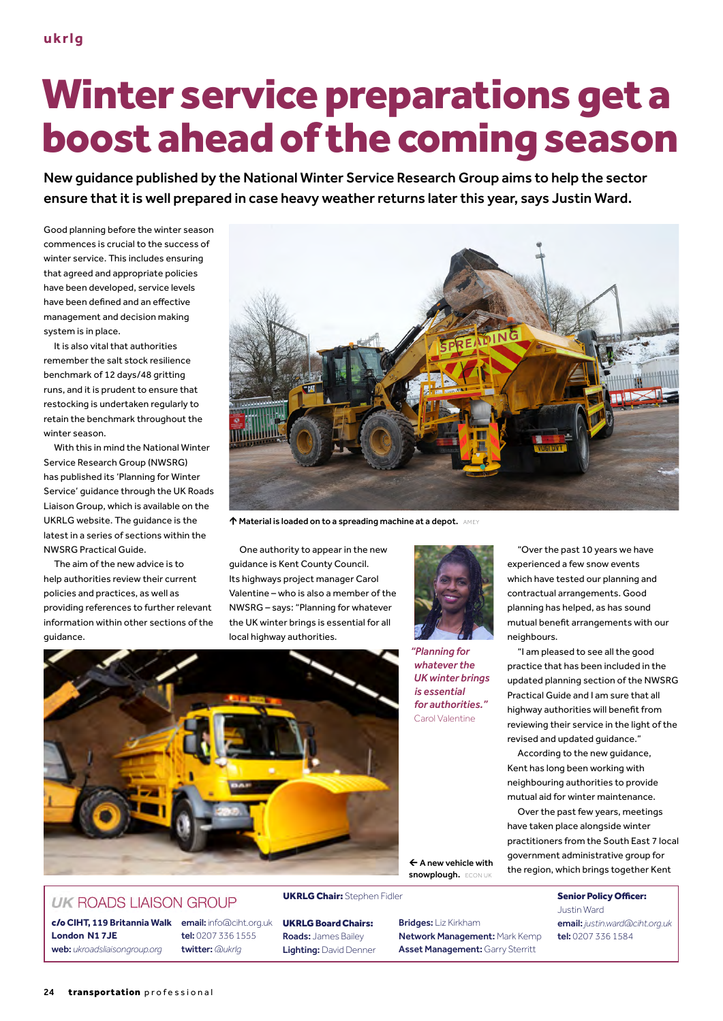**London N1 7JE**

24 transportation professional

**UK ROADS LIAISON GROUP** 

c/o **CIHT, 119 Britannia Walk** email: info@ciht.org.uk tel: 0207 336 1555 twitter: *@ukrlg*

UKRLG Board Chairs: Roads: James Bailey Lighting: David Denner Bridges: Liz Kirkham Network Management: Mark Kemp Asset Management: Garry Sterritt

snowplough. ECON U

"Over the past 10 years we have experienced a few snow events contractual arrangements. Good planning has helped, as has sound neighbours.

updated planning section of the NWSRG revised and updated guidance."

Over the past few years, meetings have taken place alongside winter practitioners from the South East 7 local government administrative group for the region, which brings together Kent

> Justin Ward email: *justin.ward@ciht.org.uk* tel: 0207 336 1584

## Winter service preparations get a boost ahead of the coming season

New guidance published by the National Winter Service Research Group aims to help the sector ensure that it is well prepared in case heavy weather returns later this year, says Justin Ward.

Good planning before the winter season commences is crucial to the success of winter service. This includes ensuring that agreed and appropriate policies have been developed, service levels have been defned and an efective management and decision making system is in place.

It is also vital that authorities remember the salt stock resilience benchmark of 12 days/48 gritting runs, and it is prudent to ensure that restocking is undertaken regularly to retain the benchmark throughout the winter season.

With this in mind the National Winter Service Research Group (NWSRG) has published its 'Planning for Winter Service' guidance through the UK Roads Liaison Group, which is available on the UKRLG website. The guidance is the latest in a series of sections within the NWSRG Practical Guide.

The aim of the new advice is to help authorities review their current policies and practices, as well as providing references to further relevant information within other sections of the guidance.

 $\spadesuit$  Material is loaded on to a spreading machine at a depot. AMEY One authority to appear in the new

guidance is Kent County Council. Its highways project manager Carol Valentine – who is also a member of the NWSRG – says: "Planning for whatever the UK winter brings is essential for all local highway authorities.

*"Planning for*

*whatever the UK winter brings is essential for authorities."* Carol Valentine

which have tested our planning and mutual beneft arrangements with our "I am pleased to see all the good

practice that has been included in the Practical Guide and I am sure that all highway authorities will beneft from reviewing their service in the light of the

According to the new guidance, Kent has long been working with neighbouring authorities to provide mutual aid for winter maintenance.

UKRLG Chair: Stephen Fidler Senior Policy Officer: